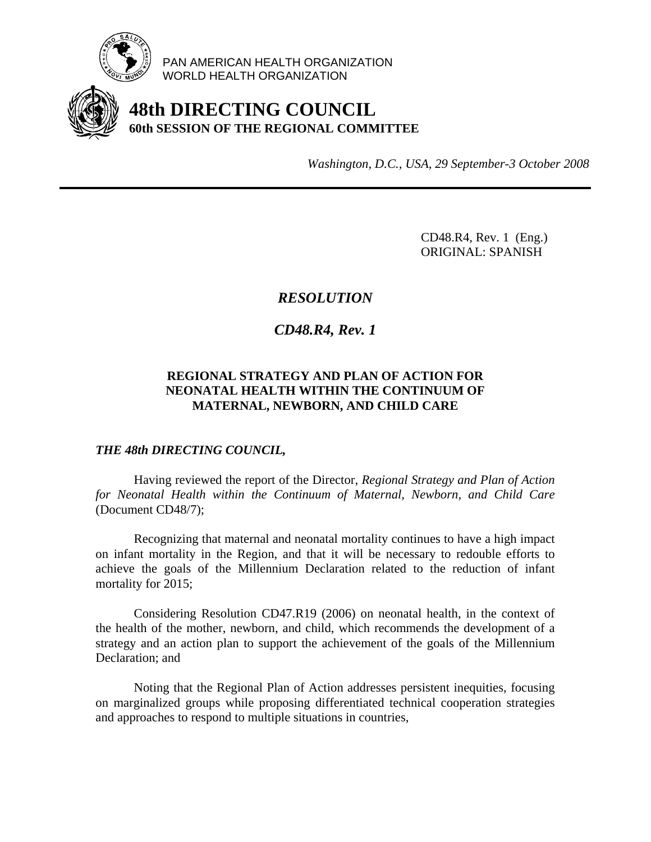

PAN AMERICAN HEALTH ORGANIZATION WORLD HEALTH ORGANIZATION

# **48th DIRECTING COUNCIL 60th SESSION OF THE REGIONAL COMMITTEE**

*Washington, D.C., USA, 29 September-3 October 2008*

 CD48.R4, Rev. 1 (Eng.) ORIGINAL: SPANISH

## *RESOLUTION*

*CD48.R4, Rev. 1* 

### **REGIONAL STRATEGY AND PLAN OF ACTION FOR NEONATAL HEALTH WITHIN THE CONTINUUM OF MATERNAL, NEWBORN, AND CHILD CARE**

### *THE 48th DIRECTING COUNCIL,*

 Having reviewed the report of the Director, *Regional Strategy and Plan of Action for Neonatal Health within the Continuum of Maternal, Newborn, and Child Care*  (Document CD48/7);

 Recognizing that maternal and neonatal mortality continues to have a high impact on infant mortality in the Region, and that it will be necessary to redouble efforts to achieve the goals of the Millennium Declaration related to the reduction of infant mortality for 2015;

 Considering Resolution CD47.R19 (2006) on neonatal health, in the context of the health of the mother, newborn, and child, which recommends the development of a strategy and an action plan to support the achievement of the goals of the Millennium Declaration; and

 Noting that the Regional Plan of Action addresses persistent inequities, focusing on marginalized groups while proposing differentiated technical cooperation strategies and approaches to respond to multiple situations in countries,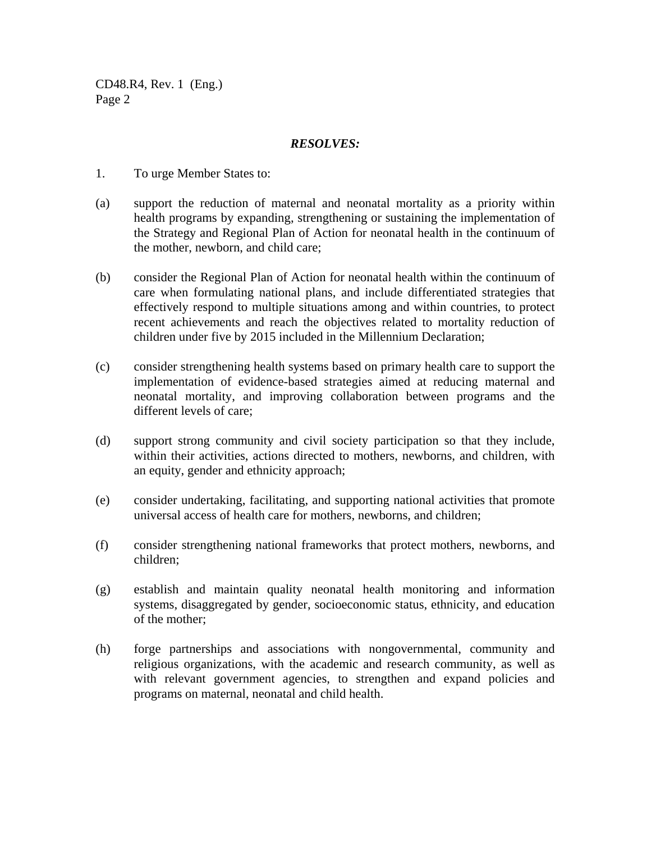CD48.R4, Rev. 1 (Eng.) Page 2

#### *RESOLVES:*

- 1.To urge Member States to:
- (a) support the reduction of maternal and neonatal mortality as a priority within health programs by expanding, strengthening or sustaining the implementation of the Strategy and Regional Plan of Action for neonatal health in the continuum of the mother, newborn, and child care;
- (b) consider the Regional Plan of Action for neonatal health within the continuum of care when formulating national plans, and include differentiated strategies that effectively respond to multiple situations among and within countries, to protect recent achievements and reach the objectives related to mortality reduction of children under five by 2015 included in the Millennium Declaration;
- (c) consider strengthening health systems based on primary health care to support the implementation of evidence-based strategies aimed at reducing maternal and neonatal mortality, and improving collaboration between programs and the different levels of care;
- (d) support strong community and civil society participation so that they include, within their activities, actions directed to mothers, newborns, and children, with an equity, gender and ethnicity approach;
- (e) consider undertaking, facilitating, and supporting national activities that promote universal access of health care for mothers, newborns, and children;
- (f) consider strengthening national frameworks that protect mothers, newborns, and children;
- (g) establish and maintain quality neonatal health monitoring and information systems, disaggregated by gender, socioeconomic status, ethnicity, and education of the mother;
- (h) forge partnerships and associations with nongovernmental, community and religious organizations, with the academic and research community, as well as with relevant government agencies, to strengthen and expand policies and programs on maternal, neonatal and child health.